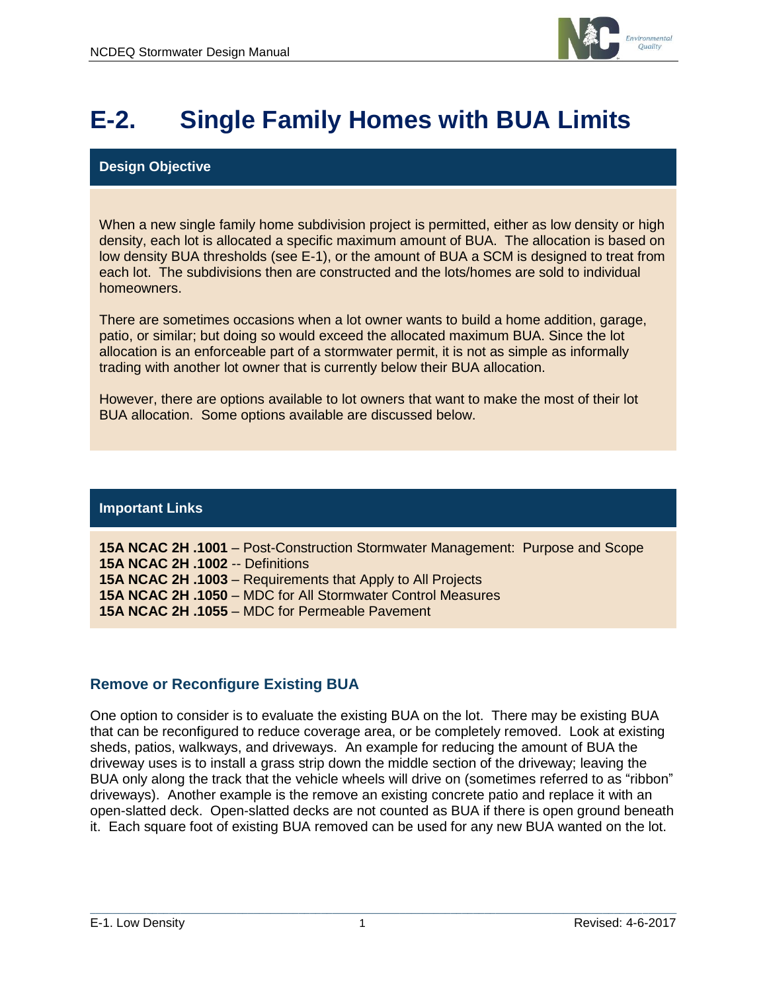

# **E-2. Single Family Homes with BUA Limits**

#### **Design Objective**

When a new single family home subdivision project is permitted, either as low density or high density, each lot is allocated a specific maximum amount of BUA. The allocation is based on low density BUA thresholds (see E-1), or the amount of BUA a SCM is designed to treat from each lot. The subdivisions then are constructed and the lots/homes are sold to individual homeowners.

There are sometimes occasions when a lot owner wants to build a home addition, garage, patio, or similar; but doing so would exceed the allocated maximum BUA. Since the lot allocation is an enforceable part of a stormwater permit, it is not as simple as informally trading with another lot owner that is currently below their BUA allocation.

However, there are options available to lot owners that want to make the most of their lot BUA allocation. Some options available are discussed below.

#### **Important Links**

**15A NCAC 2H .1001** – Post-Construction Stormwater Management: Purpose and Scope **15A NCAC 2H .1002** -- Definitions **15A NCAC 2H .1003** – Requirements that Apply to All Projects **15A NCAC 2H .1050** – MDC for All Stormwater Control Measures **15A NCAC 2H .1055** – MDC for Permeable Pavement

### **Remove or Reconfigure Existing BUA**

One option to consider is to evaluate the existing BUA on the lot. There may be existing BUA that can be reconfigured to reduce coverage area, or be completely removed. Look at existing sheds, patios, walkways, and driveways. An example for reducing the amount of BUA the driveway uses is to install a grass strip down the middle section of the driveway; leaving the BUA only along the track that the vehicle wheels will drive on (sometimes referred to as "ribbon" driveways). Another example is the remove an existing concrete patio and replace it with an open-slatted deck. Open-slatted decks are not counted as BUA if there is open ground beneath it. Each square foot of existing BUA removed can be used for any new BUA wanted on the lot.